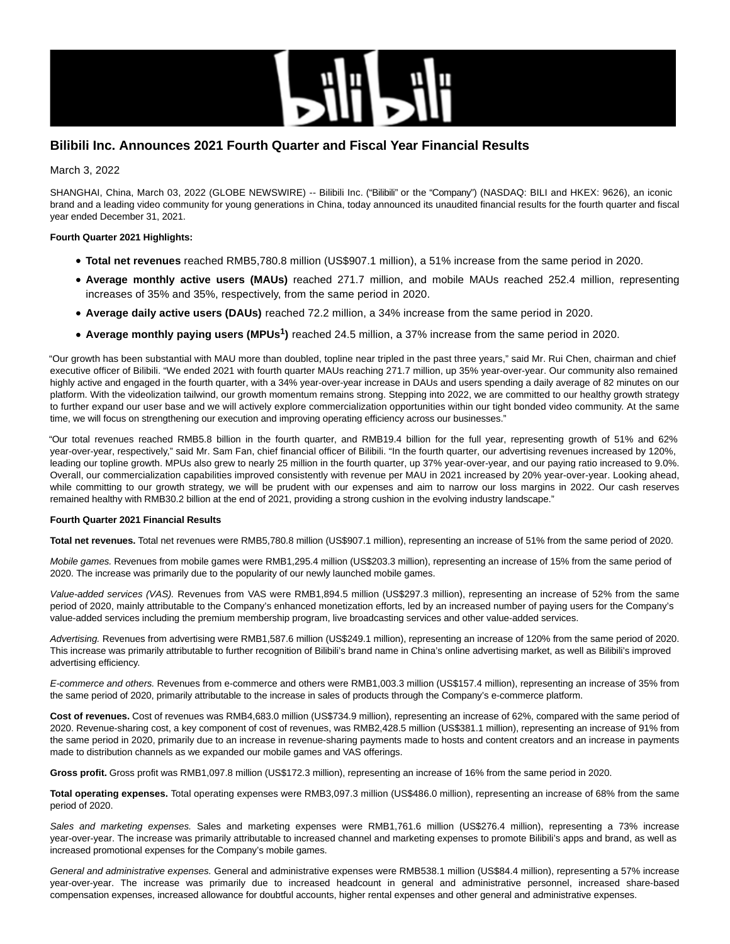

# **Bilibili Inc. Announces 2021 Fourth Quarter and Fiscal Year Financial Results**

March 3, 2022

SHANGHAI, China, March 03, 2022 (GLOBE NEWSWIRE) -- Bilibili Inc. ("Bilibili" or the "Company") (NASDAQ: BILI and HKEX: 9626), an iconic brand and a leading video community for young generations in China, today announced its unaudited financial results for the fourth quarter and fiscal year ended December 31, 2021.

# **Fourth Quarter 2021 Highlights:**

- **Total net revenues** reached RMB5,780.8 million (US\$907.1 million), a 51% increase from the same period in 2020.
- **Average monthly active users (MAUs)** reached 271.7 million, and mobile MAUs reached 252.4 million, representing increases of 35% and 35%, respectively, from the same period in 2020.
- **Average daily active users (DAUs)** reached 72.2 million, a 34% increase from the same period in 2020.
- **Average monthly paying users (MPUs<sup>1</sup> )** reached 24.5 million, a 37% increase from the same period in 2020.

"Our growth has been substantial with MAU more than doubled, topline near tripled in the past three years," said Mr. Rui Chen, chairman and chief executive officer of Bilibili. "We ended 2021 with fourth quarter MAUs reaching 271.7 million, up 35% year-over-year. Our community also remained highly active and engaged in the fourth quarter, with a 34% year-over-year increase in DAUs and users spending a daily average of 82 minutes on our platform. With the videolization tailwind, our growth momentum remains strong. Stepping into 2022, we are committed to our healthy growth strategy to further expand our user base and we will actively explore commercialization opportunities within our tight bonded video community. At the same time, we will focus on strengthening our execution and improving operating efficiency across our businesses."

"Our total revenues reached RMB5.8 billion in the fourth quarter, and RMB19.4 billion for the full year, representing growth of 51% and 62% year-over-year, respectively," said Mr. Sam Fan, chief financial officer of Bilibili. "In the fourth quarter, our advertising revenues increased by 120%, leading our topline growth. MPUs also grew to nearly 25 million in the fourth quarter, up 37% year-over-year, and our paying ratio increased to 9.0%. Overall, our commercialization capabilities improved consistently with revenue per MAU in 2021 increased by 20% year-over-year. Looking ahead, while committing to our growth strategy, we will be prudent with our expenses and aim to narrow our loss margins in 2022. Our cash reserves remained healthy with RMB30.2 billion at the end of 2021, providing a strong cushion in the evolving industry landscape."

### **Fourth Quarter 2021 Financial Results**

**Total net revenues.** Total net revenues were RMB5,780.8 million (US\$907.1 million), representing an increase of 51% from the same period of 2020.

Mobile games. Revenues from mobile games were RMB1,295.4 million (US\$203.3 million), representing an increase of 15% from the same period of 2020. The increase was primarily due to the popularity of our newly launched mobile games.

Value-added services (VAS). Revenues from VAS were RMB1,894.5 million (US\$297.3 million), representing an increase of 52% from the same period of 2020, mainly attributable to the Company's enhanced monetization efforts, led by an increased number of paying users for the Company's value-added services including the premium membership program, live broadcasting services and other value-added services.

Advertising. Revenues from advertising were RMB1,587.6 million (US\$249.1 million), representing an increase of 120% from the same period of 2020. This increase was primarily attributable to further recognition of Bilibili's brand name in China's online advertising market, as well as Bilibili's improved advertising efficiency.

E-commerce and others. Revenues from e-commerce and others were RMB1,003.3 million (US\$157.4 million), representing an increase of 35% from the same period of 2020, primarily attributable to the increase in sales of products through the Company's e-commerce platform.

**Cost of revenues.** Cost of revenues was RMB4,683.0 million (US\$734.9 million), representing an increase of 62%, compared with the same period of 2020. Revenue-sharing cost, a key component of cost of revenues, was RMB2,428.5 million (US\$381.1 million), representing an increase of 91% from the same period in 2020, primarily due to an increase in revenue-sharing payments made to hosts and content creators and an increase in payments made to distribution channels as we expanded our mobile games and VAS offerings.

**Gross profit.** Gross profit was RMB1,097.8 million (US\$172.3 million), representing an increase of 16% from the same period in 2020.

**Total operating expenses.** Total operating expenses were RMB3,097.3 million (US\$486.0 million), representing an increase of 68% from the same period of 2020.

Sales and marketing expenses. Sales and marketing expenses were RMB1,761.6 million (US\$276.4 million), representing a 73% increase year-over-year. The increase was primarily attributable to increased channel and marketing expenses to promote Bilibili's apps and brand, as well as increased promotional expenses for the Company's mobile games.

General and administrative expenses. General and administrative expenses were RMB538.1 million (US\$84.4 million), representing a 57% increase year-over-year. The increase was primarily due to increased headcount in general and administrative personnel, increased share-based compensation expenses, increased allowance for doubtful accounts, higher rental expenses and other general and administrative expenses.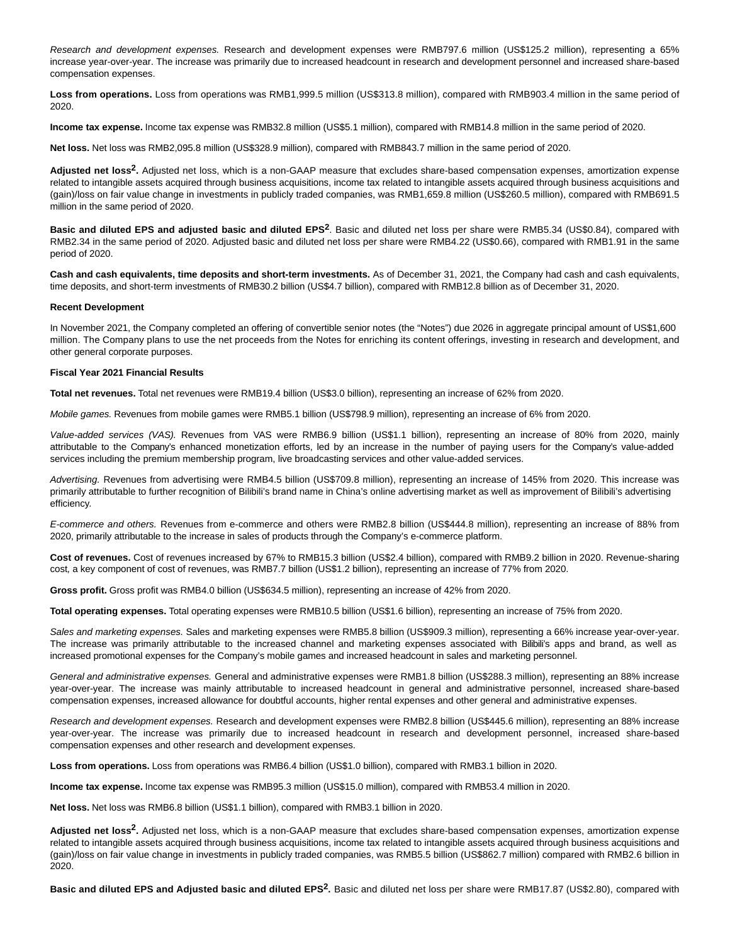Research and development expenses. Research and development expenses were RMB797.6 million (US\$125.2 million), representing a 65% increase year-over-year. The increase was primarily due to increased headcount in research and development personnel and increased share-based compensation expenses.

**Loss from operations.** Loss from operations was RMB1,999.5 million (US\$313.8 million), compared with RMB903.4 million in the same period of 2020.

**Income tax expense.** Income tax expense was RMB32.8 million (US\$5.1 million), compared with RMB14.8 million in the same period of 2020.

**Net loss.** Net loss was RMB2,095.8 million (US\$328.9 million), compared with RMB843.7 million in the same period of 2020.

**Adjusted net loss2.** Adjusted net loss, which is a non-GAAP measure that excludes share-based compensation expenses, amortization expense related to intangible assets acquired through business acquisitions, income tax related to intangible assets acquired through business acquisitions and (gain)/loss on fair value change in investments in publicly traded companies, was RMB1,659.8 million (US\$260.5 million), compared with RMB691.5 million in the same period of 2020.

**Basic and diluted EPS and adjusted basic and diluted EPS2**. Basic and diluted net loss per share were RMB5.34 (US\$0.84), compared with RMB2.34 in the same period of 2020. Adjusted basic and diluted net loss per share were RMB4.22 (US\$0.66), compared with RMB1.91 in the same period of 2020.

**Cash and cash equivalents, time deposits and short-term investments.** As of December 31, 2021, the Company had cash and cash equivalents, time deposits, and short-term investments of RMB30.2 billion (US\$4.7 billion), compared with RMB12.8 billion as of December 31, 2020.

#### **Recent Development**

In November 2021, the Company completed an offering of convertible senior notes (the "Notes") due 2026 in aggregate principal amount of US\$1,600 million. The Company plans to use the net proceeds from the Notes for enriching its content offerings, investing in research and development, and other general corporate purposes.

### **Fiscal Year 2021 Financial Results**

**Total net revenues.** Total net revenues were RMB19.4 billion (US\$3.0 billion), representing an increase of 62% from 2020.

Mobile games. Revenues from mobile games were RMB5.1 billion (US\$798.9 million), representing an increase of 6% from 2020.

Value-added services (VAS). Revenues from VAS were RMB6.9 billion (US\$1.1 billion), representing an increase of 80% from 2020, mainly attributable to the Company's enhanced monetization efforts, led by an increase in the number of paying users for the Company's value-added services including the premium membership program, live broadcasting services and other value-added services.

Advertising. Revenues from advertising were RMB4.5 billion (US\$709.8 million), representing an increase of 145% from 2020. This increase was primarily attributable to further recognition of Bilibili's brand name in China's online advertising market as well as improvement of Bilibili's advertising efficiency.

E-commerce and others. Revenues from e-commerce and others were RMB2.8 billion (US\$444.8 million), representing an increase of 88% from 2020, primarily attributable to the increase in sales of products through the Company's e-commerce platform.

**Cost of revenues.** Cost of revenues increased by 67% to RMB15.3 billion (US\$2.4 billion), compared with RMB9.2 billion in 2020. Revenue-sharing cost, a key component of cost of revenues, was RMB7.7 billion (US\$1.2 billion), representing an increase of 77% from 2020.

**Gross profit.** Gross profit was RMB4.0 billion (US\$634.5 million), representing an increase of 42% from 2020.

**Total operating expenses.** Total operating expenses were RMB10.5 billion (US\$1.6 billion), representing an increase of 75% from 2020.

Sales and marketing expenses. Sales and marketing expenses were RMB5.8 billion (US\$909.3 million), representing a 66% increase year-over-year. The increase was primarily attributable to the increased channel and marketing expenses associated with Bilibili's apps and brand, as well as increased promotional expenses for the Company's mobile games and increased headcount in sales and marketing personnel.

General and administrative expenses. General and administrative expenses were RMB1.8 billion (US\$288.3 million), representing an 88% increase year-over-year. The increase was mainly attributable to increased headcount in general and administrative personnel, increased share-based compensation expenses, increased allowance for doubtful accounts, higher rental expenses and other general and administrative expenses.

Research and development expenses. Research and development expenses were RMB2.8 billion (US\$445.6 million), representing an 88% increase year-over-year. The increase was primarily due to increased headcount in research and development personnel, increased share-based compensation expenses and other research and development expenses.

**Loss from operations.** Loss from operations was RMB6.4 billion (US\$1.0 billion), compared with RMB3.1 billion in 2020.

**Income tax expense.** Income tax expense was RMB95.3 million (US\$15.0 million), compared with RMB53.4 million in 2020.

**Net loss.** Net loss was RMB6.8 billion (US\$1.1 billion), compared with RMB3.1 billion in 2020.

**Adjusted net loss2.** Adjusted net loss, which is a non-GAAP measure that excludes share-based compensation expenses, amortization expense related to intangible assets acquired through business acquisitions, income tax related to intangible assets acquired through business acquisitions and (gain)/loss on fair value change in investments in publicly traded companies, was RMB5.5 billion (US\$862.7 million) compared with RMB2.6 billion in 2020.

**Basic and diluted EPS and Adjusted basic and diluted EPS2.** Basic and diluted net loss per share were RMB17.87 (US\$2.80), compared with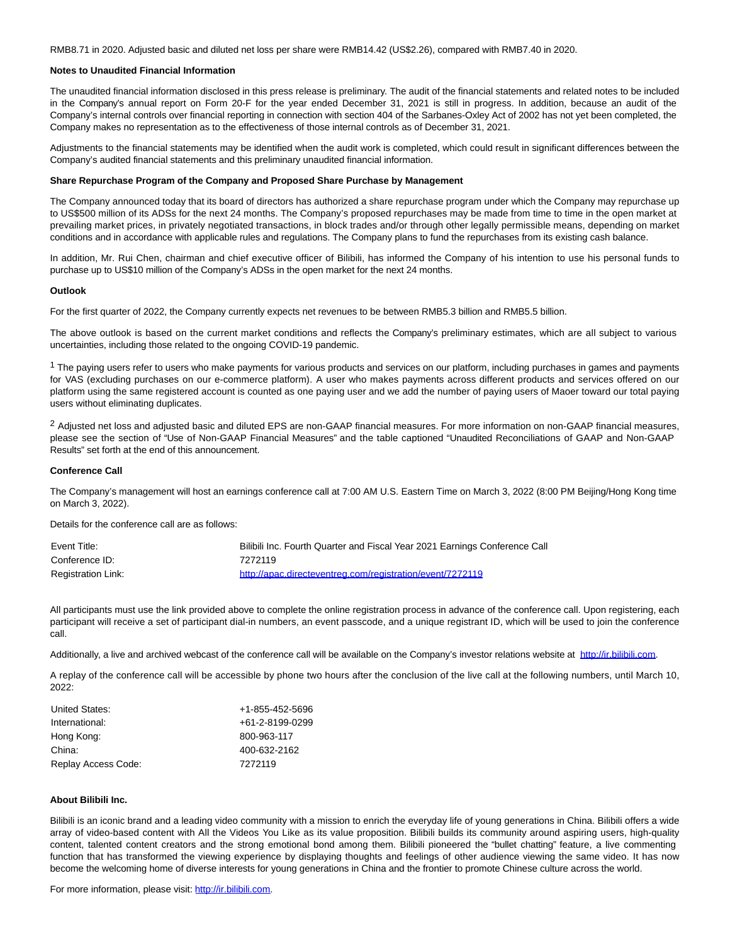RMB8.71 in 2020. Adjusted basic and diluted net loss per share were RMB14.42 (US\$2.26), compared with RMB7.40 in 2020.

### **Notes to Unaudited Financial Information**

The unaudited financial information disclosed in this press release is preliminary. The audit of the financial statements and related notes to be included in the Company's annual report on Form 20-F for the year ended December 31, 2021 is still in progress. In addition, because an audit of the Company's internal controls over financial reporting in connection with section 404 of the Sarbanes-Oxley Act of 2002 has not yet been completed, the Company makes no representation as to the effectiveness of those internal controls as of December 31, 2021.

Adjustments to the financial statements may be identified when the audit work is completed, which could result in significant differences between the Company's audited financial statements and this preliminary unaudited financial information.

#### **Share Repurchase Program of the Company and Proposed Share Purchase by Management**

The Company announced today that its board of directors has authorized a share repurchase program under which the Company may repurchase up to US\$500 million of its ADSs for the next 24 months. The Company's proposed repurchases may be made from time to time in the open market at prevailing market prices, in privately negotiated transactions, in block trades and/or through other legally permissible means, depending on market conditions and in accordance with applicable rules and regulations. The Company plans to fund the repurchases from its existing cash balance.

In addition, Mr. Rui Chen, chairman and chief executive officer of Bilibili, has informed the Company of his intention to use his personal funds to purchase up to US\$10 million of the Company's ADSs in the open market for the next 24 months.

#### **Outlook**

For the first quarter of 2022, the Company currently expects net revenues to be between RMB5.3 billion and RMB5.5 billion.

The above outlook is based on the current market conditions and reflects the Company's preliminary estimates, which are all subject to various uncertainties, including those related to the ongoing COVID-19 pandemic.

 $1$  The paying users refer to users who make payments for various products and services on our platform, including purchases in games and payments for VAS (excluding purchases on our e-commerce platform). A user who makes payments across different products and services offered on our platform using the same registered account is counted as one paying user and we add the number of paying users of Maoer toward our total paying users without eliminating duplicates.

<sup>2</sup> Adjusted net loss and adjusted basic and diluted EPS are non-GAAP financial measures. For more information on non-GAAP financial measures, please see the section of "Use of Non-GAAP Financial Measures" and the table captioned "Unaudited Reconciliations of GAAP and Non-GAAP Results" set forth at the end of this announcement.

#### **Conference Call**

The Company's management will host an earnings conference call at 7:00 AM U.S. Eastern Time on March 3, 2022 (8:00 PM Beijing/Hong Kong time on March 3, 2022).

Details for the conference call are as follows:

| Event Title:              | Bilibili Inc. Fourth Quarter and Fiscal Year 2021 Earnings Conference Call |
|---------------------------|----------------------------------------------------------------------------|
| Conference ID:            | 7272119                                                                    |
| <b>Registration Link:</b> | http://apac.directeventreg.com/registration/event/7272119                  |

All participants must use the link provided above to complete the online registration process in advance of the conference call. Upon registering, each participant will receive a set of participant dial-in numbers, an event passcode, and a unique registrant ID, which will be used to join the conference call.

Additionally, a live and archived webcast of the conference call will be available on the Company's investor relations website at [http://ir.bilibili.com.](https://www.globenewswire.com/Tracker?data=ugQ5gr8JO0uh0hpyi3VRFFFDV3EEX4xLSIIBMrSguzyndafnZ4JXQGqH70cx72Of7-zWRqUUMFK8mazLTvV_6nYnxrMAYoQ60FS_uNu_OZs=)

A replay of the conference call will be accessible by phone two hours after the conclusion of the live call at the following numbers, until March 10, 2022:

| <b>United States:</b> | +1-855-452-5696 |
|-----------------------|-----------------|
| International:        | +61-2-8199-0299 |
| Hong Kong:            | 800-963-117     |
| China:                | 400-632-2162    |
| Replay Access Code:   | 7272119         |

### **About Bilibili Inc.**

Bilibili is an iconic brand and a leading video community with a mission to enrich the everyday life of young generations in China. Bilibili offers a wide array of video-based content with All the Videos You Like as its value proposition. Bilibili builds its community around aspiring users, high-quality content, talented content creators and the strong emotional bond among them. Bilibili pioneered the "bullet chatting" feature, a live commenting function that has transformed the viewing experience by displaying thoughts and feelings of other audience viewing the same video. It has now become the welcoming home of diverse interests for young generations in China and the frontier to promote Chinese culture across the world.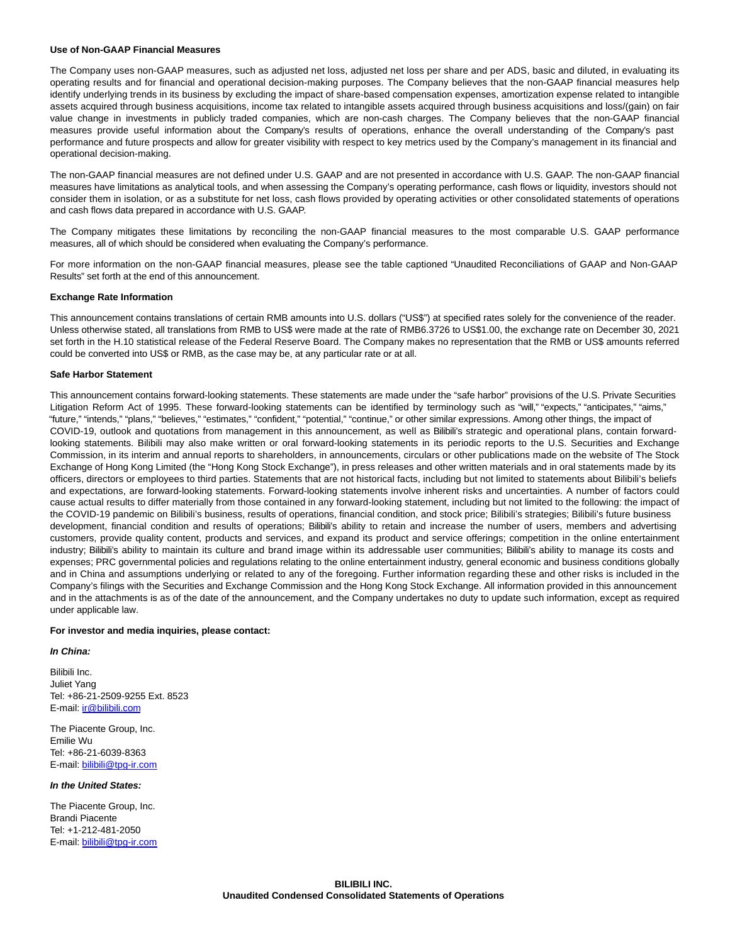#### **Use of Non-GAAP Financial Measures**

The Company uses non-GAAP measures, such as adjusted net loss, adjusted net loss per share and per ADS, basic and diluted, in evaluating its operating results and for financial and operational decision-making purposes. The Company believes that the non-GAAP financial measures help identify underlying trends in its business by excluding the impact of share-based compensation expenses, amortization expense related to intangible assets acquired through business acquisitions, income tax related to intangible assets acquired through business acquisitions and loss/(gain) on fair value change in investments in publicly traded companies, which are non-cash charges. The Company believes that the non-GAAP financial measures provide useful information about the Company's results of operations, enhance the overall understanding of the Company's past performance and future prospects and allow for greater visibility with respect to key metrics used by the Company's management in its financial and operational decision-making.

The non-GAAP financial measures are not defined under U.S. GAAP and are not presented in accordance with U.S. GAAP. The non-GAAP financial measures have limitations as analytical tools, and when assessing the Company's operating performance, cash flows or liquidity, investors should not consider them in isolation, or as a substitute for net loss, cash flows provided by operating activities or other consolidated statements of operations and cash flows data prepared in accordance with U.S. GAAP.

The Company mitigates these limitations by reconciling the non-GAAP financial measures to the most comparable U.S. GAAP performance measures, all of which should be considered when evaluating the Company's performance.

For more information on the non-GAAP financial measures, please see the table captioned "Unaudited Reconciliations of GAAP and Non-GAAP Results" set forth at the end of this announcement.

#### **Exchange Rate Information**

This announcement contains translations of certain RMB amounts into U.S. dollars ("US\$") at specified rates solely for the convenience of the reader. Unless otherwise stated, all translations from RMB to US\$ were made at the rate of RMB6.3726 to US\$1.00, the exchange rate on December 30, 2021 set forth in the H.10 statistical release of the Federal Reserve Board. The Company makes no representation that the RMB or US\$ amounts referred could be converted into US\$ or RMB, as the case may be, at any particular rate or at all.

#### **Safe Harbor Statement**

This announcement contains forward-looking statements. These statements are made under the "safe harbor" provisions of the U.S. Private Securities Litigation Reform Act of 1995. These forward-looking statements can be identified by terminology such as "will," "expects," "anticipates," "aims," "future," "intends," "plans," "believes," "estimates," "confident," "potential," "continue," or other similar expressions. Among other things, the impact of COVID-19, outlook and quotations from management in this announcement, as well as Bilibili's strategic and operational plans, contain forwardlooking statements. Bilibili may also make written or oral forward-looking statements in its periodic reports to the U.S. Securities and Exchange Commission, in its interim and annual reports to shareholders, in announcements, circulars or other publications made on the website of The Stock Exchange of Hong Kong Limited (the "Hong Kong Stock Exchange"), in press releases and other written materials and in oral statements made by its officers, directors or employees to third parties. Statements that are not historical facts, including but not limited to statements about Bilibili's beliefs and expectations, are forward-looking statements. Forward-looking statements involve inherent risks and uncertainties. A number of factors could cause actual results to differ materially from those contained in any forward-looking statement, including but not limited to the following: the impact of the COVID-19 pandemic on Bilibili's business, results of operations, financial condition, and stock price; Bilibili's strategies; Bilibili's future business development, financial condition and results of operations; Bilibili's ability to retain and increase the number of users, members and advertising customers, provide quality content, products and services, and expand its product and service offerings; competition in the online entertainment industry; Bilibili's ability to maintain its culture and brand image within its addressable user communities; Bilibili's ability to manage its costs and expenses; PRC governmental policies and regulations relating to the online entertainment industry, general economic and business conditions globally and in China and assumptions underlying or related to any of the foregoing. Further information regarding these and other risks is included in the Company's filings with the Securities and Exchange Commission and the Hong Kong Stock Exchange. All information provided in this announcement and in the attachments is as of the date of the announcement, and the Company undertakes no duty to update such information, except as required under applicable law.

### **For investor and media inquiries, please contact:**

#### **In China:**

Bilibili Inc. Juliet Yang Tel: +86-21-2509-9255 Ext. 8523 E-mail: [ir@bilibili.com](https://www.globenewswire.com/Tracker?data=xgWD5n2J6F_QNr86GpnIXScfADeNzPT0FDaZqF9Bu8Le9Zvv-dfYNF3LEJ8nPncDWVp59qv6ouvUH1NqkMGhJQ==)

The Piacente Group, Inc. Emilie Wu Tel: +86-21-6039-8363 E-mail: [bilibili@tpg-ir.com](https://www.globenewswire.com/Tracker?data=VBVboFmYy0AdVrMeNq3zri7phrIHq5B1tpAC2eYWtDMz8lOhAe_ub84uGW-5_IK-yuHXulDDo_dkH6AtGFULa87svV248mDM8jrrBUCAW4M=)

### **In the United States:**

The Piacente Group, Inc. Brandi Piacente Tel: +1-212-481-2050 E-mail: [bilibili@tpg-ir.com](https://www.globenewswire.com/Tracker?data=VBVboFmYy0AdVrMeNq3zrhaDETW4danzJLn0vaFQ06nms-49IOoDOVIGmBR6II825kPqxdRyIZnfrBhPKJxpoZZbS480glf3Y6kjcqdLUT8=)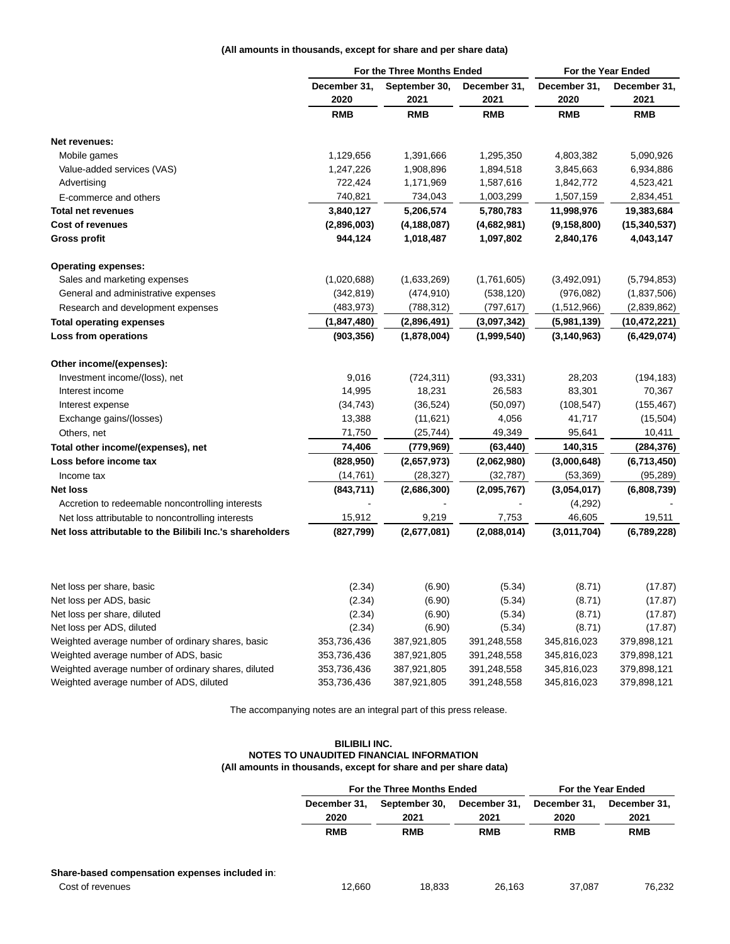# **(All amounts in thousands, except for share and per share data)**

|                                                           |               | For the Three Months Ended |              | For the Year Ended |                |
|-----------------------------------------------------------|---------------|----------------------------|--------------|--------------------|----------------|
|                                                           | December 31,  | September 30,              | December 31, | December 31,       | December 31,   |
|                                                           | 2020          | 2021                       | 2021         | 2020               | 2021           |
|                                                           | <b>RMB</b>    | <b>RMB</b>                 | <b>RMB</b>   | <b>RMB</b>         | <b>RMB</b>     |
| Net revenues:                                             |               |                            |              |                    |                |
| Mobile games                                              | 1,129,656     | 1,391,666                  | 1,295,350    | 4,803,382          | 5,090,926      |
| Value-added services (VAS)                                | 1,247,226     | 1,908,896                  | 1,894,518    | 3,845,663          | 6,934,886      |
| Advertising                                               | 722,424       | 1,171,969                  | 1,587,616    | 1,842,772          | 4,523,421      |
| E-commerce and others                                     | 740,821       | 734,043                    | 1,003,299    | 1,507,159          | 2,834,451      |
| <b>Total net revenues</b>                                 | 3,840,127     | 5,206,574                  | 5,780,783    | 11,998,976         | 19,383,684     |
| <b>Cost of revenues</b>                                   | (2,896,003)   | (4, 188, 087)              | (4,682,981)  | (9, 158, 800)      | (15, 340, 537) |
| <b>Gross profit</b>                                       | 944,124       | 1,018,487                  | 1,097,802    | 2,840,176          | 4,043,147      |
| <b>Operating expenses:</b>                                |               |                            |              |                    |                |
| Sales and marketing expenses                              | (1,020,688)   | (1,633,269)                | (1,761,605)  | (3,492,091)        | (5,794,853)    |
| General and administrative expenses                       | (342, 819)    | (474, 910)                 | (538, 120)   | (976, 082)         | (1,837,506)    |
| Research and development expenses                         | (483, 973)    | (788, 312)                 | (797, 617)   | (1,512,966)        | (2,839,862)    |
| <b>Total operating expenses</b>                           | (1, 847, 480) | (2,896,491)                | (3,097,342)  | (5,981,139)        | (10, 472, 221) |
| Loss from operations                                      | (903, 356)    | (1,878,004)                | (1,999,540)  | (3, 140, 963)      | (6,429,074)    |
| Other income/(expenses):                                  |               |                            |              |                    |                |
| Investment income/(loss), net                             | 9,016         | (724, 311)                 | (93, 331)    | 28,203             | (194, 183)     |
| Interest income                                           | 14,995        | 18,231                     | 26,583       | 83,301             | 70,367         |
| Interest expense                                          | (34, 743)     | (36, 524)                  | (50,097)     | (108, 547)         | (155, 467)     |
| Exchange gains/(losses)                                   | 13,388        | (11, 621)                  | 4,056        | 41,717             | (15, 504)      |
| Others, net                                               | 71,750        | (25, 744)                  | 49,349       | 95,641             | 10,411         |
| Total other income/(expenses), net                        | 74,406        | (779,969)                  | (63, 440)    | 140,315            | (284, 376)     |
| Loss before income tax                                    | (828, 950)    | (2,657,973)                | (2,062,980)  | (3,000,648)        | (6,713,450)    |
| Income tax                                                | (14, 761)     | (28, 327)                  | (32, 787)    | (53, 369)          | (95, 289)      |
| <b>Net loss</b>                                           | (843, 711)    | (2,686,300)                | (2,095,767)  | (3,054,017)        | (6,808,739)    |
| Accretion to redeemable noncontrolling interests          |               |                            |              | (4,292)            |                |
| Net loss attributable to noncontrolling interests         | 15,912        | 9,219                      | 7,753        | 46,605             | 19,511         |
| Net loss attributable to the Bilibili Inc.'s shareholders | (827,799)     | (2,677,081)                | (2,088,014)  | (3,011,704)        | (6,789,228)    |
|                                                           |               |                            |              |                    |                |
| Net loss per share, basic                                 | (2.34)        | (6.90)                     | (5.34)       | (8.71)             | (17.87)        |
| Net loss per ADS, basic                                   | (2.34)        | (6.90)                     | (5.34)       | (8.71)             | (17.87)        |
| Net loss per share, diluted                               | (2.34)        | (6.90)                     | (5.34)       | (8.71)             | (17.87)        |
| Net loss per ADS, diluted                                 | (2.34)        | (6.90)                     | (5.34)       | (8.71)             | (17.87)        |

| Weighted average number of ordinary shares, basic   | 353.736.436 | 387.921.805 | 391.248.558 | 345.816.023 | 379.898.121 |
|-----------------------------------------------------|-------------|-------------|-------------|-------------|-------------|
| Weighted average number of ADS, basic               | 353.736.436 | 387.921.805 | 391.248.558 | 345.816.023 | 379,898,121 |
| Weighted average number of ordinary shares, diluted | 353.736.436 | 387.921.805 | 391.248.558 | 345.816.023 | 379,898,121 |
| Weighted average number of ADS, diluted             | 353.736.436 | 387.921.805 | 391.248.558 | 345.816.023 | 379.898.121 |
|                                                     |             |             |             |             |             |

The accompanying notes are an integral part of this press release.

### **BILIBILI INC. NOTES TO UNAUDITED FINANCIAL INFORMATION (All amounts in thousands, except for share and per share data)**

|                                                | For the Three Months Ended |                       | For the Year Ended   |                      |                      |
|------------------------------------------------|----------------------------|-----------------------|----------------------|----------------------|----------------------|
|                                                | December 31.<br>2020       | September 30,<br>2021 | December 31,<br>2021 | December 31.<br>2020 | December 31,<br>2021 |
|                                                | <b>RMB</b>                 | <b>RMB</b>            | <b>RMB</b>           | <b>RMB</b>           | <b>RMB</b>           |
| Share-based compensation expenses included in: |                            |                       |                      |                      |                      |
| Cost of revenues                               | 12.660                     | 18.833                | 26.163               | 37.087               | 76.232               |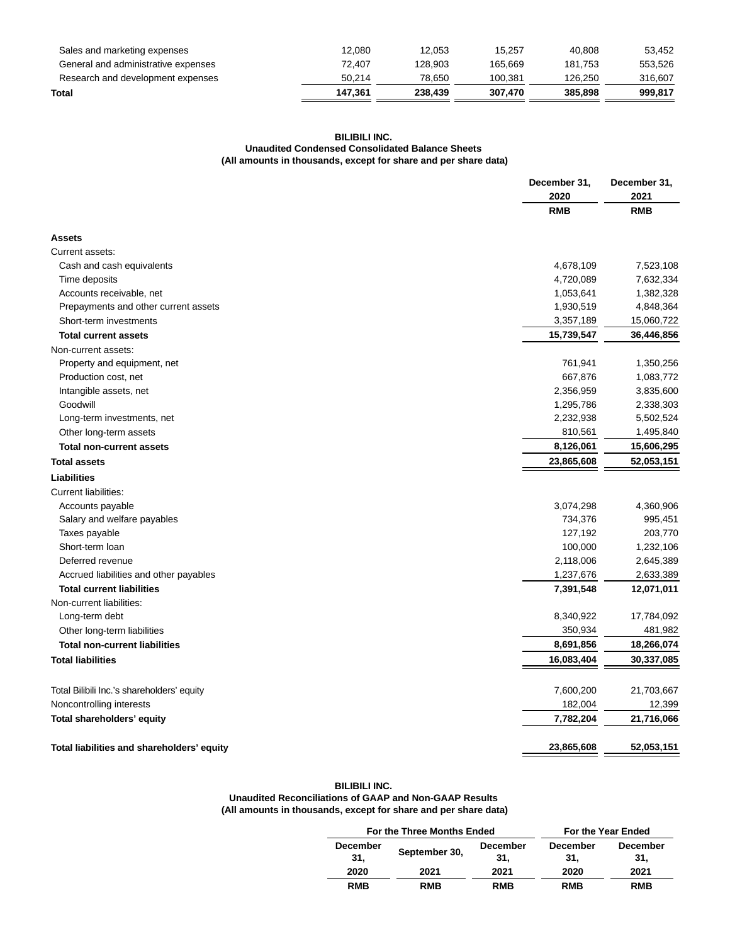| Total                               | 147.361 | 238,439 | 307.470 | 385.898 | 999.817 |
|-------------------------------------|---------|---------|---------|---------|---------|
| Research and development expenses   | 50.214  | 78.650  | 100.381 | 126.250 | 316.607 |
| General and administrative expenses | 72.407  | 128.903 | 165.669 | 181.753 | 553.526 |
| Sales and marketing expenses        | 12,080  | 12.053  | 15.257  | 40.808  | 53.452  |
|                                     |         |         |         |         |         |

# **BILIBILI INC. Unaudited Condensed Consolidated Balance Sheets (All amounts in thousands, except for share and per share data)**

| December 31,<br>2020                                     | December 31,<br>2021 |
|----------------------------------------------------------|----------------------|
| <b>RMB</b>                                               | <b>RMB</b>           |
| <b>Assets</b>                                            |                      |
| Current assets:                                          |                      |
| 4,678,109<br>Cash and cash equivalents                   | 7,523,108            |
| 4,720,089<br>Time deposits                               | 7,632,334            |
| 1,053,641<br>Accounts receivable, net                    | 1,382,328            |
| 1,930,519<br>Prepayments and other current assets        | 4,848,364            |
| 3,357,189<br>Short-term investments                      | 15,060,722           |
| 15,739,547<br><b>Total current assets</b>                | 36,446,856           |
| Non-current assets:                                      |                      |
| Property and equipment, net                              | 761,941<br>1,350,256 |
| Production cost, net                                     | 667,876<br>1,083,772 |
| 2,356,959<br>Intangible assets, net                      | 3,835,600            |
| Goodwill<br>1,295,786                                    | 2,338,303            |
| 2,232,938<br>Long-term investments, net                  | 5,502,524            |
| Other long-term assets                                   | 810,561<br>1,495,840 |
| 8,126,061<br><b>Total non-current assets</b>             | 15,606,295           |
| 23,865,608<br><b>Total assets</b>                        | 52,053,151           |
| <b>Liabilities</b>                                       |                      |
| Current liabilities:                                     |                      |
| 3,074,298<br>Accounts payable                            | 4,360,906            |
| Salary and welfare payables                              | 734,376<br>995,451   |
| Taxes payable                                            | 127,192<br>203,770   |
| Short-term loan                                          | 100,000<br>1,232,106 |
| Deferred revenue<br>2,118,006                            | 2,645,389            |
| 1,237,676<br>Accrued liabilities and other payables      | 2,633,389            |
| 7,391,548<br><b>Total current liabilities</b>            | 12,071,011           |
| Non-current liabilities:                                 |                      |
| 8,340,922<br>Long-term debt                              | 17,784,092           |
| Other long-term liabilities                              | 350,934<br>481,982   |
| <b>Total non-current liabilities</b><br>8,691,856        | 18,266,074           |
| 16,083,404<br><b>Total liabilities</b>                   | 30,337,085           |
|                                                          |                      |
| 7,600,200<br>Total Bilibili Inc.'s shareholders' equity  | 21,703,667           |
| Noncontrolling interests                                 | 182,004<br>12,399    |
| Total shareholders' equity<br>7,782,204                  | 21,716,066           |
| 23,865,608<br>Total liabilities and shareholders' equity | 52,053,151           |

# **BILIBILI INC. Unaudited Reconciliations of GAAP and Non-GAAP Results (All amounts in thousands, except for share and per share data)**

| For the Three Months Ended |               |                        | For the Year Ended     |                        |  |
|----------------------------|---------------|------------------------|------------------------|------------------------|--|
| <b>December</b><br>31,     | September 30, | <b>December</b><br>31. | <b>December</b><br>31. | <b>December</b><br>31. |  |
| 2020                       | 2021          | 2021                   | 2020                   | 2021                   |  |
| <b>RMB</b>                 | <b>RMB</b>    | <b>RMB</b>             | <b>RMB</b>             | <b>RMB</b>             |  |